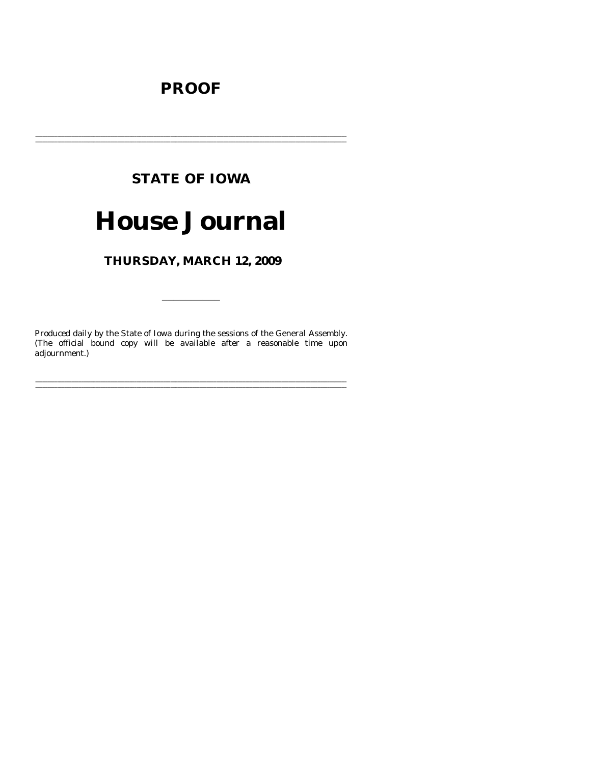# **PROOF**

# **STATE OF IOWA**

# **House Journal**

THURSDAY, MARCH 12, 2009

Produced daily by the State of Iowa during the sessions of the General Assembly. (The official bound copy will be available after a reasonable time upon adjournment.)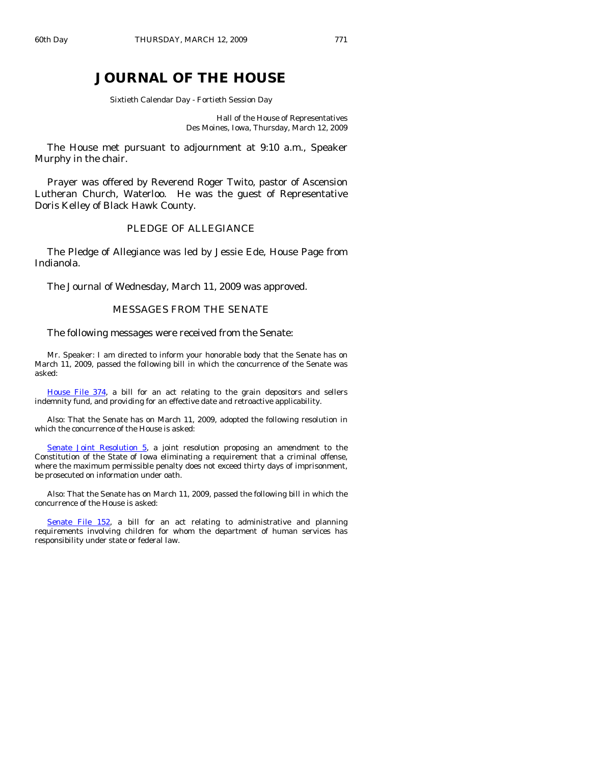# **JOURNAL OF THE HOUSE**

Sixtieth Calendar Day - Fortieth Session Day

Hall of the House of Representatives Des Moines, Iowa, Thursday, March 12, 2009

 The House met pursuant to adjournment at 9:10 a.m., Speaker Murphy in the chair.

 Prayer was offered by Reverend Roger Twito, pastor of Ascension Lutheran Church, Waterloo. He was the guest of Representative Doris Kelley of Black Hawk County.

### PLEDGE OF ALLEGIANCE

 The Pledge of Allegiance was led by Jessie Ede, House Page from Indianola.

The Journal of Wednesday, March 11, 2009 was approved.

# MESSAGES FROM THE SENATE

#### The following messages were received from the Senate:

 Mr. Speaker: I am directed to inform your honorable body that the Senate has on March 11, 2009, passed the following bill in which the concurrence of the Senate was asked:

[House File 374,](http://coolice.legis.state.ia.us/Cool-ICE/default.asp?Category=billinfo&Service=Billbook&frame=1&GA=83&hbill=HF374) a bill for an act relating to the grain depositors and sellers indemnity fund, and providing for an effective date and retroactive applicability.

 Also: That the Senate has on March 11, 2009, adopted the following resolution in which the concurrence of the House is asked:

[Senate Joint Resolution 5,](http://coolice.legis.state.ia.us/Cool-ICE/default.asp?Category=billinfo&Service=Billbook&frame=1&GA=83&hbill=SJR5) a joint resolution proposing an amendment to the Constitution of the State of Iowa eliminating a requirement that a criminal offense, where the maximum permissible penalty does not exceed thirty days of imprisonment, be prosecuted on information under oath.

 Also: That the Senate has on March 11, 2009, passed the following bill in which the concurrence of the House is asked:

[Senate File 152,](http://coolice.legis.state.ia.us/Cool-ICE/default.asp?Category=billinfo&Service=Billbook&frame=1&GA=83&hbill=SF152) a bill for an act relating to administrative and planning requirements involving children for whom the department of human services has responsibility under state or federal law.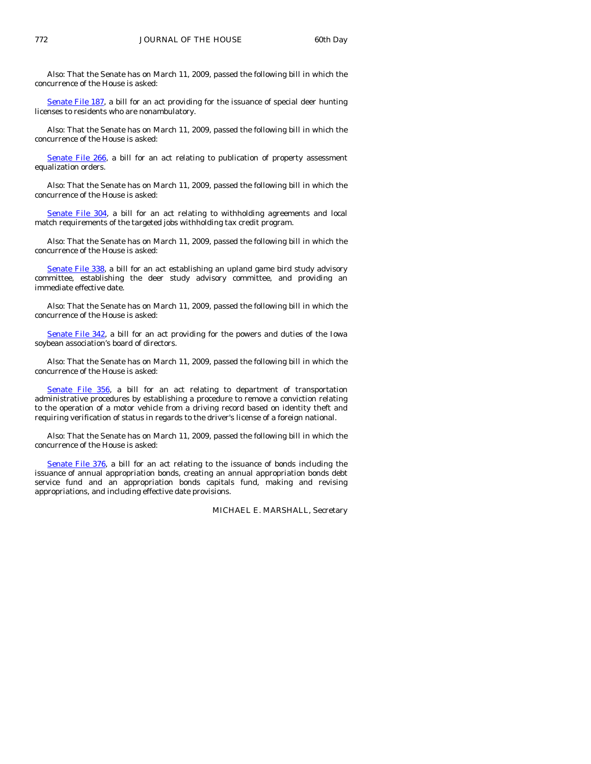Also: That the Senate has on March 11, 2009, passed the following bill in which the concurrence of the House is asked:

[Senate File 187,](http://coolice.legis.state.ia.us/Cool-ICE/default.asp?Category=billinfo&Service=Billbook&frame=1&GA=83&hbill=SF187) a bill for an act providing for the issuance of special deer hunting licenses to residents who are nonambulatory.

 Also: That the Senate has on March 11, 2009, passed the following bill in which the concurrence of the House is asked:

[Senate File 266,](http://coolice.legis.state.ia.us/Cool-ICE/default.asp?Category=billinfo&Service=Billbook&frame=1&GA=83&hbill=SF266) a bill for an act relating to publication of property assessment equalization orders.

 Also: That the Senate has on March 11, 2009, passed the following bill in which the concurrence of the House is asked:

[Senate File 304](http://coolice.legis.state.ia.us/Cool-ICE/default.asp?Category=billinfo&Service=Billbook&frame=1&GA=83&hbill=SF304), a bill for an act relating to withholding agreements and local match requirements of the targeted jobs withholding tax credit program.

 Also: That the Senate has on March 11, 2009, passed the following bill in which the concurrence of the House is asked:

[Senate File 338](http://coolice.legis.state.ia.us/Cool-ICE/default.asp?Category=billinfo&Service=Billbook&frame=1&GA=83&hbill=SF338), a bill for an act establishing an upland game bird study advisory committee, establishing the deer study advisory committee, and providing an immediate effective date.

 Also: That the Senate has on March 11, 2009, passed the following bill in which the concurrence of the House is asked:

[Senate File 342,](http://coolice.legis.state.ia.us/Cool-ICE/default.asp?Category=billinfo&Service=Billbook&frame=1&GA=83&hbill=SF342) a bill for an act providing for the powers and duties of the Iowa soybean association's board of directors.

 Also: That the Senate has on March 11, 2009, passed the following bill in which the concurrence of the House is asked:

[Senate File 356,](http://coolice.legis.state.ia.us/Cool-ICE/default.asp?Category=billinfo&Service=Billbook&frame=1&GA=83&hbill=SF356) a bill for an act relating to department of transportation administrative procedures by establishing a procedure to remove a conviction relating to the operation of a motor vehicle from a driving record based on identity theft and requiring verification of status in regards to the driver's license of a foreign national.

 Also: That the Senate has on March 11, 2009, passed the following bill in which the concurrence of the House is asked:

[Senate File 376](http://coolice.legis.state.ia.us/Cool-ICE/default.asp?Category=billinfo&Service=Billbook&frame=1&GA=83&hbill=SF376), a bill for an act relating to the issuance of bonds including the issuance of annual appropriation bonds, creating an annual appropriation bonds debt service fund and an appropriation bonds capitals fund, making and revising appropriations, and including effective date provisions.

MICHAEL E. MARSHALL, Secretary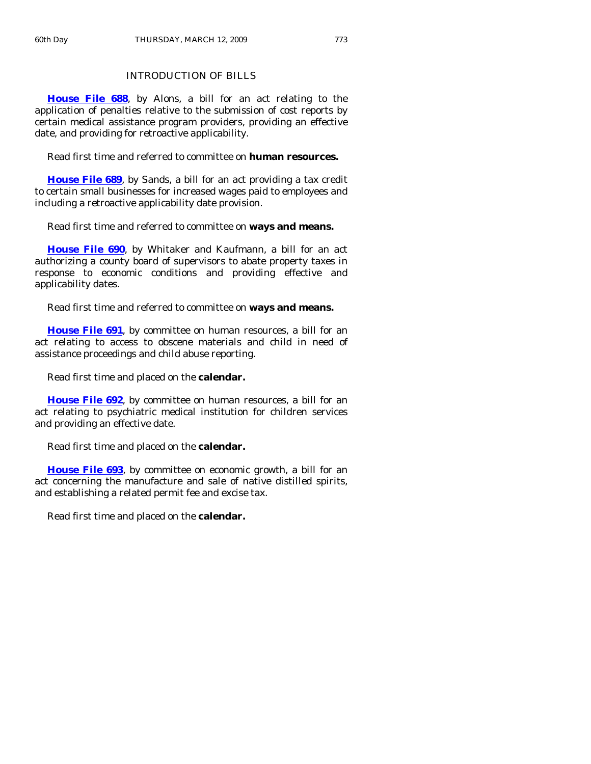# INTRODUCTION OF BILLS

**[House File 688](http://coolice.legis.state.ia.us/Cool-ICE/default.asp?Category=billinfo&Service=Billbook&frame=1&GA=83&hbill=HF688)**, by Alons, a bill for an act relating to the application of penalties relative to the submission of cost reports by certain medical assistance program providers, providing an effective date, and providing for retroactive applicability.

Read first time and referred to committee on **human resources.** 

**[House File 689](http://coolice.legis.state.ia.us/Cool-ICE/default.asp?Category=billinfo&Service=Billbook&frame=1&GA=83&hbill=HF689)**, by Sands, a bill for an act providing a tax credit to certain small businesses for increased wages paid to employees and including a retroactive applicability date provision.

Read first time and referred to committee on **ways and means.** 

**[House File 690](http://coolice.legis.state.ia.us/Cool-ICE/default.asp?Category=billinfo&Service=Billbook&frame=1&GA=83&hbill=HF690)**, by Whitaker and Kaufmann, a bill for an act authorizing a county board of supervisors to abate property taxes in response to economic conditions and providing effective and applicability dates.

Read first time and referred to committee on **ways and means.** 

**[House File 691](http://coolice.legis.state.ia.us/Cool-ICE/default.asp?Category=billinfo&Service=Billbook&frame=1&GA=83&hbill=HF691)**, by committee on human resources, a bill for an act relating to access to obscene materials and child in need of assistance proceedings and child abuse reporting.

Read first time and placed on the **calendar.** 

**[House File 692](http://coolice.legis.state.ia.us/Cool-ICE/default.asp?Category=billinfo&Service=Billbook&frame=1&GA=83&hbill=HF692)**, by committee on human resources, a bill for an act relating to psychiatric medical institution for children services and providing an effective date.

Read first time and placed on the **calendar.** 

**[House File 693](http://coolice.legis.state.ia.us/Cool-ICE/default.asp?Category=billinfo&Service=Billbook&frame=1&GA=83&hbill=HF693)**, by committee on economic growth, a bill for an act concerning the manufacture and sale of native distilled spirits, and establishing a related permit fee and excise tax.

Read first time and placed on the **calendar.**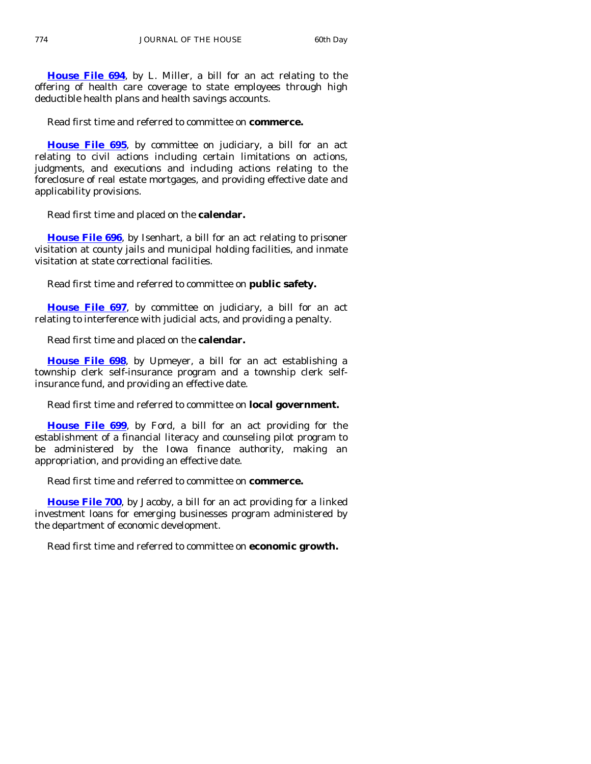**[House File 694](http://coolice.legis.state.ia.us/Cool-ICE/default.asp?Category=billinfo&Service=Billbook&frame=1&GA=83&hbill=HF694)**, by L. Miller, a bill for an act relating to the offering of health care coverage to state employees through high deductible health plans and health savings accounts.

Read first time and referred to committee on **commerce.** 

**[House File 695](http://coolice.legis.state.ia.us/Cool-ICE/default.asp?Category=billinfo&Service=Billbook&frame=1&GA=83&hbill=HF695)**, by committee on judiciary, a bill for an act relating to civil actions including certain limitations on actions, judgments, and executions and including actions relating to the foreclosure of real estate mortgages, and providing effective date and applicability provisions.

Read first time and placed on the **calendar.** 

**[House File 696](http://coolice.legis.state.ia.us/Cool-ICE/default.asp?Category=billinfo&Service=Billbook&frame=1&GA=83&hbill=HF696)**, by Isenhart, a bill for an act relating to prisoner visitation at county jails and municipal holding facilities, and inmate visitation at state correctional facilities.

Read first time and referred to committee on **public safety.** 

**[House File 697](http://coolice.legis.state.ia.us/Cool-ICE/default.asp?Category=billinfo&Service=Billbook&frame=1&GA=83&hbill=HF697)**, by committee on judiciary, a bill for an act relating to interference with judicial acts, and providing a penalty.

Read first time and placed on the **calendar.** 

**[House File 698](http://coolice.legis.state.ia.us/Cool-ICE/default.asp?Category=billinfo&Service=Billbook&frame=1&GA=83&hbill=HF698)**, by Upmeyer, a bill for an act establishing a township clerk self-insurance program and a township clerk selfinsurance fund, and providing an effective date.

Read first time and referred to committee on **local government.** 

**[House File 699](http://coolice.legis.state.ia.us/Cool-ICE/default.asp?Category=billinfo&Service=Billbook&frame=1&GA=83&hbill=HF699)**, by Ford, a bill for an act providing for the establishment of a financial literacy and counseling pilot program to be administered by the Iowa finance authority, making an appropriation, and providing an effective date.

Read first time and referred to committee on **commerce.** 

**[House File 700](http://coolice.legis.state.ia.us/Cool-ICE/default.asp?Category=billinfo&Service=Billbook&frame=1&GA=83&hbill=HF700)**, by Jacoby, a bill for an act providing for a linked investment loans for emerging businesses program administered by the department of economic development.

Read first time and referred to committee on **economic growth.**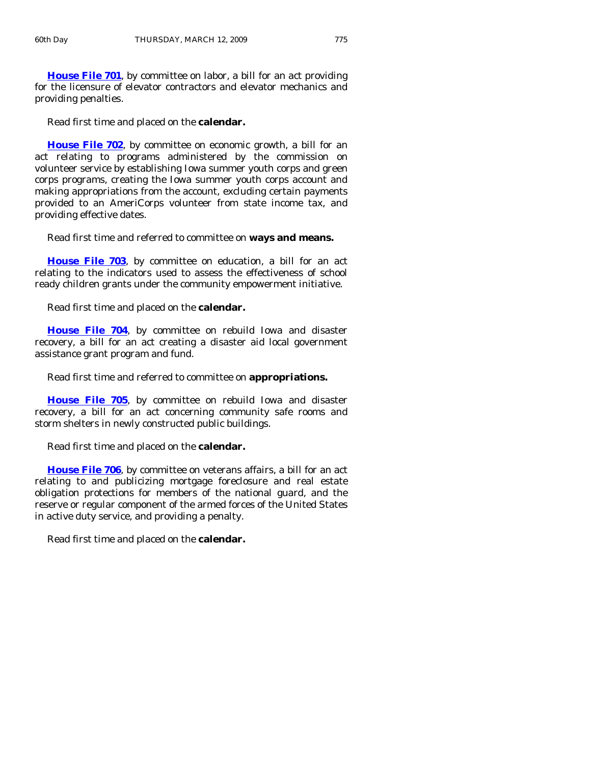**[House File 701](http://coolice.legis.state.ia.us/Cool-ICE/default.asp?Category=billinfo&Service=Billbook&frame=1&GA=83&hbill=HF701)**, by committee on labor, a bill for an act providing for the licensure of elevator contractors and elevator mechanics and providing penalties.

Read first time and placed on the **calendar.** 

**[House File 702](http://coolice.legis.state.ia.us/Cool-ICE/default.asp?Category=billinfo&Service=Billbook&frame=1&GA=83&hbill=HF702)**, by committee on economic growth, a bill for an act relating to programs administered by the commission on volunteer service by establishing Iowa summer youth corps and green corps programs, creating the Iowa summer youth corps account and making appropriations from the account, excluding certain payments provided to an AmeriCorps volunteer from state income tax, and providing effective dates.

Read first time and referred to committee on **ways and means.** 

**[House File 703](http://coolice.legis.state.ia.us/Cool-ICE/default.asp?Category=billinfo&Service=Billbook&frame=1&GA=83&hbill=HF703)**, by committee on education, a bill for an act relating to the indicators used to assess the effectiveness of school ready children grants under the community empowerment initiative.

Read first time and placed on the **calendar.** 

**[House File 704](http://coolice.legis.state.ia.us/Cool-ICE/default.asp?Category=billinfo&Service=Billbook&frame=1&GA=83&hbill=HF704)**, by committee on rebuild Iowa and disaster recovery, a bill for an act creating a disaster aid local government assistance grant program and fund.

Read first time and referred to committee on **appropriations.** 

**[House File 705](http://coolice.legis.state.ia.us/Cool-ICE/default.asp?Category=billinfo&Service=Billbook&frame=1&GA=83&hbill=HF705)**, by committee on rebuild Iowa and disaster recovery, a bill for an act concerning community safe rooms and storm shelters in newly constructed public buildings.

Read first time and placed on the **calendar.** 

**[House File 706](http://coolice.legis.state.ia.us/Cool-ICE/default.asp?Category=billinfo&Service=Billbook&frame=1&GA=83&hbill=HF706)**, by committee on veterans affairs, a bill for an act relating to and publicizing mortgage foreclosure and real estate obligation protections for members of the national guard, and the reserve or regular component of the armed forces of the United States in active duty service, and providing a penalty.

Read first time and placed on the **calendar.**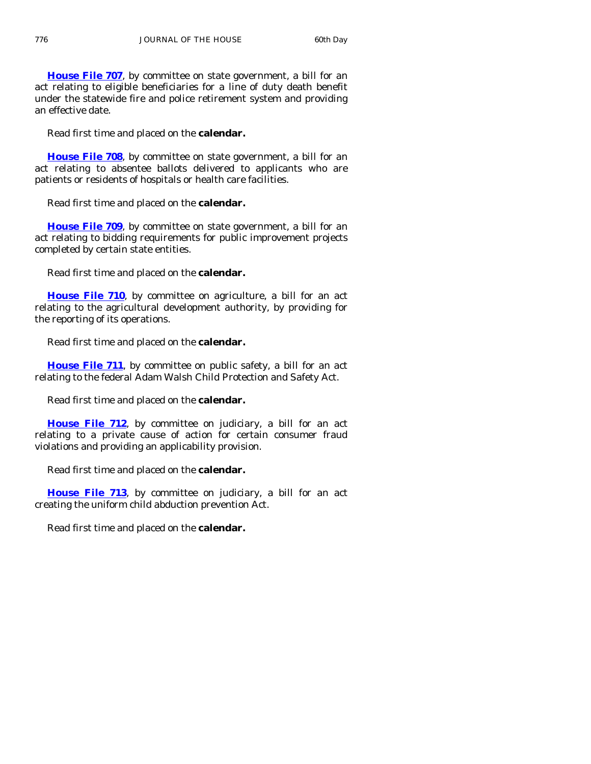**[House File 707](http://coolice.legis.state.ia.us/Cool-ICE/default.asp?Category=billinfo&Service=Billbook&frame=1&GA=83&hbill=HF707)**, by committee on state government, a bill for an act relating to eligible beneficiaries for a line of duty death benefit under the statewide fire and police retirement system and providing an effective date.

Read first time and placed on the **calendar.**

**[House File 708](http://coolice.legis.state.ia.us/Cool-ICE/default.asp?Category=billinfo&Service=Billbook&frame=1&GA=83&hbill=HF708)**, by committee on state government, a bill for an act relating to absentee ballots delivered to applicants who are patients or residents of hospitals or health care facilities.

Read first time and placed on the **calendar.**

**[House File 709](http://coolice.legis.state.ia.us/Cool-ICE/default.asp?Category=billinfo&Service=Billbook&frame=1&GA=83&hbill=HF709)**, by committee on state government, a bill for an act relating to bidding requirements for public improvement projects completed by certain state entities.

Read first time and placed on the **calendar.** 

**[House File 710](http://coolice.legis.state.ia.us/Cool-ICE/default.asp?Category=billinfo&Service=Billbook&frame=1&GA=83&hbill=HF710)**, by committee on agriculture, a bill for an act relating to the agricultural development authority, by providing for the reporting of its operations.

Read first time and placed on the **calendar.** 

**[House File 711](http://coolice.legis.state.ia.us/Cool-ICE/default.asp?Category=billinfo&Service=Billbook&frame=1&GA=83&hbill=HF711)**, by committee on public safety, a bill for an act relating to the federal Adam Walsh Child Protection and Safety Act.

Read first time and placed on the **calendar.** 

**[House File 712](http://coolice.legis.state.ia.us/Cool-ICE/default.asp?Category=billinfo&Service=Billbook&frame=1&GA=83&hbill=HF712)**, by committee on judiciary, a bill for an act relating to a private cause of action for certain consumer fraud violations and providing an applicability provision.

Read first time and placed on the **calendar.** 

**[House File 713](http://coolice.legis.state.ia.us/Cool-ICE/default.asp?Category=billinfo&Service=Billbook&frame=1&GA=83&hbill=HF713)**, by committee on judiciary, a bill for an act creating the uniform child abduction prevention Act.

Read first time and placed on the **calendar.**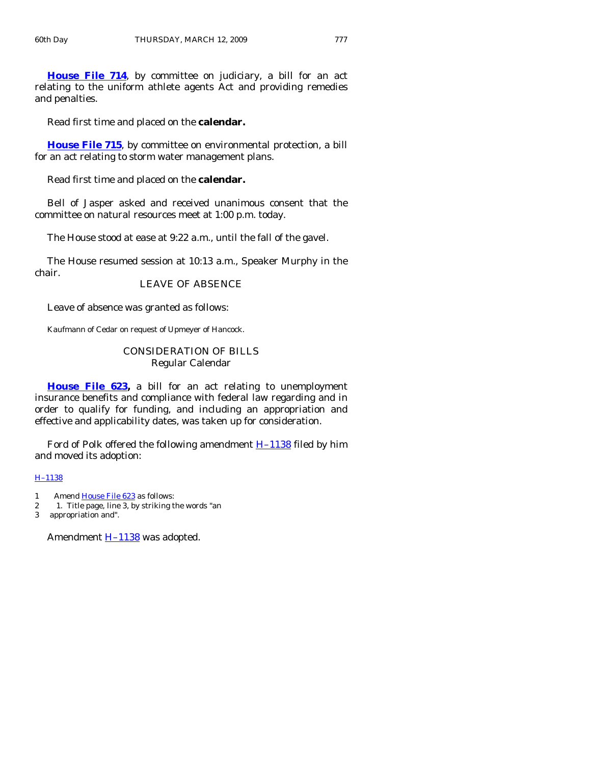**[House File 714](http://coolice.legis.state.ia.us/Cool-ICE/default.asp?Category=billinfo&Service=Billbook&frame=1&GA=83&hbill=HF714)**, by committee on judiciary, a bill for an act relating to the uniform athlete agents Act and providing remedies and penalties.

Read first time and placed on the **calendar.** 

**[House File 715](http://coolice.legis.state.ia.us/Cool-ICE/default.asp?Category=billinfo&Service=Billbook&frame=1&GA=83&hbill=HF715)**, by committee on environmental protection, a bill for an act relating to storm water management plans.

Read first time and placed on the **calendar.** 

 Bell of Jasper asked and received unanimous consent that the committee on natural resources meet at 1:00 p.m. today.

The House stood at ease at 9:22 a.m., until the fall of the gavel.

 The House resumed session at 10:13 a.m., Speaker Murphy in the chair.

LEAVE OF ABSENCE

Leave of absence was granted as follows:

Kaufmann of Cedar on request of Upmeyer of Hancock.

# CONSIDERATION OF BILLS Regular Calendar

**[House File 623,](http://coolice.legis.state.ia.us/Cool-ICE/default.asp?Category=billinfo&Service=Billbook&frame=1&GA=83&hbill=HF623)** a bill for an act relating to unemployment insurance benefits and compliance with federal law regarding and in order to qualify for funding, and including an appropriation and effective and applicability dates, was taken up for consideration.

Ford of Polk offered the following amendment  $H-1138$  filed by him and moved its adoption:

# [H–1138](http://coolice.legis.state.ia.us/Cool-ICE/default.asp?Category=billinfo&Service=Billbook&frame=1&GA=83&hbill=H1138)

- 1 Amend [House File 623](http://coolice.legis.state.ia.us/Cool-ICE/default.asp?Category=billinfo&Service=Billbook&frame=1&GA=83&hbill=HF623) as follows:
- 2 1. Title page, line 3, by striking the words "an
- 3 appropriation and".

Amendment  $H-1138$  was adopted.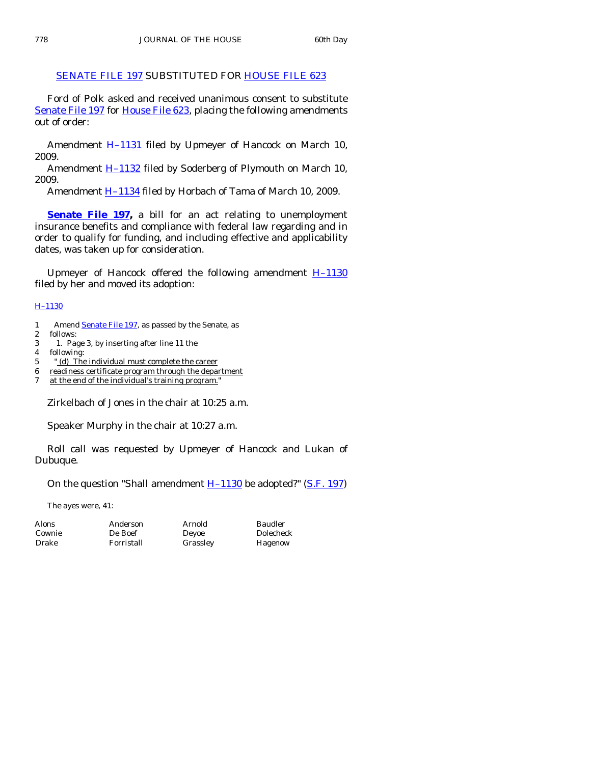# [SENATE FILE 197](http://coolice.legis.state.ia.us/Cool-ICE/default.asp?Category=billinfo&Service=Billbook&frame=1&GA=83&hbill=SF197) SUBSTITUTED FOR [HOUSE FILE 623](http://coolice.legis.state.ia.us/Cool-ICE/default.asp?Category=billinfo&Service=Billbook&frame=1&GA=83&hbill=HF623)

 Ford of Polk asked and received unanimous consent to substitute [Senate File 197](http://coolice.legis.state.ia.us/Cool-ICE/default.asp?Category=billinfo&Service=Billbook&frame=1&GA=83&hbill=SF197) for [House File 623,](http://coolice.legis.state.ia.us/Cool-ICE/default.asp?Category=billinfo&Service=Billbook&frame=1&GA=83&hbill=HF623) placing the following amendments out of order:

Amendment **H-1131** filed by Upmeyer of Hancock on March 10, 2009.

Amendment  $H-1132$  filed by Soderberg of Plymouth on March 10, 2009.

Amendment **H-1134** filed by Horbach of Tama of March 10, 2009.

**[Senate File 197](http://coolice.legis.state.ia.us/Cool-ICE/default.asp?Category=billinfo&Service=Billbook&frame=1&GA=83&hbill=SF197),** a bill for an act relating to unemployment insurance benefits and compliance with federal law regarding and in order to qualify for funding, and including effective and applicability dates, was taken up for consideration.

Upmeyer of Hancock offered the following amendment  $H-1130$ filed by her and moved its adoption:

#### [H–1130](http://coolice.legis.state.ia.us/Cool-ICE/default.asp?Category=billinfo&Service=Billbook&frame=1&GA=83&hbill=H1130)

- 1 Amend **[Senate File 197](http://coolice.legis.state.ia.us/Cool-ICE/default.asp?Category=billinfo&Service=Billbook&frame=1&GA=83&hbill=SF197)**, as passed by the Senate, as
- 2 follows:
- 3 1. Page 3, by inserting after line 11 the
- 4 following:
- 5 " (d) The individual must complete the career
- 6 readiness certificate program through the department
- 7 at the end of the individual's training program.'

Zirkelbach of Jones in the chair at 10:25 a.m.

Speaker Murphy in the chair at 10:27 a.m.

 Roll call was requested by Upmeyer of Hancock and Lukan of Dubuque.

On the question "Shall amendment  $H-1130$  be adopted?" ([S.F. 197\)](http://coolice.legis.state.ia.us/Cool-ICE/default.asp?Category=billinfo&Service=Billbook&frame=1&GA=83&hbill=SF197)

The ayes were, 41:

| <b>Alons</b> | Anderson   |
|--------------|------------|
| Cownie       | De Boef    |
| Drake        | Forristall |

Arnold Baudler

Deyoe Dolecheck Grassley Hagenow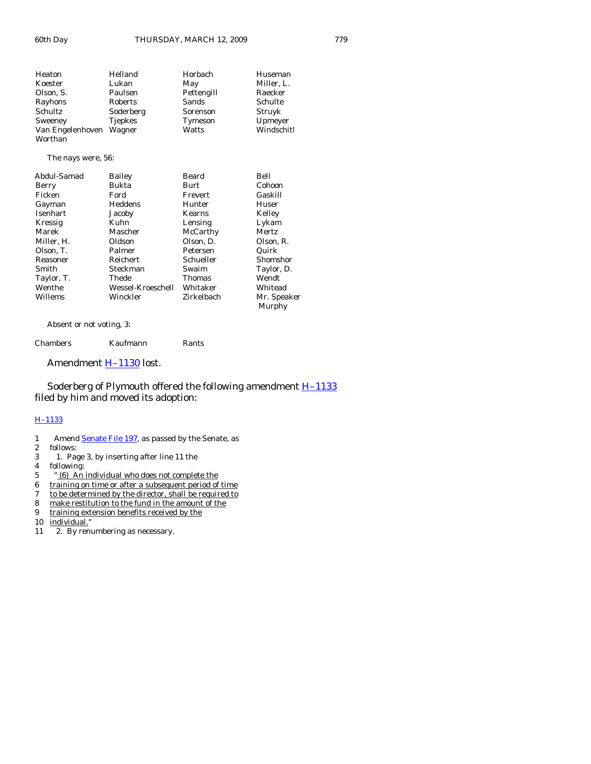| Heaton                             | Helland        | Horbach    | Huseman    |
|------------------------------------|----------------|------------|------------|
| Koester                            | Lukan          | May        | Miller, L. |
| Olson, S.                          | Paulsen        | Pettengill | Raecker    |
| Rayhons                            | Roberts        | Sands      | Schulte    |
| Schultz                            | Soderberg      | Sorenson   | Struyk     |
| Sweeney                            | <b>Tjepkes</b> | Tymeson    | Upmeyer    |
| Van Engelenhoven Wagner<br>Worthan |                | Watts      | Windschitl |

#### The nays were, 56:

| <b>Bailey</b>     | Beard      | Bell         |
|-------------------|------------|--------------|
| Bukta             | Burt       | Cohoon       |
| Ford              | Frevert    | Gaskill      |
| Heddens           | Hunter     | Huser        |
| Jacoby            | Kearns     | Kelley       |
| Kuhn              | Lensing    | Lykam        |
| Mascher           | McCarthy   | <b>Mertz</b> |
| Oldson            | Olson, D.  | Olson, R.    |
| Palmer            | Petersen   | Quirk        |
| Reichert          | Schueller  | Shomshor     |
| Steckman          | Swaim      | Taylor, D.   |
| Thede             | Thomas     | Wendt        |
| Wessel-Kroeschell | Whitaker   | Whitead      |
| Winckler          | Zirkelbach | Mr. Speaker  |
|                   |            | Murphy       |
|                   |            |              |

Absent or not voting, 3:

| Chambers | Kaufmann | Rants |
|----------|----------|-------|
|----------|----------|-------|

Amendment **H-1130** lost.

Soderberg of Plymouth offered the following amendment **H**-1133 filed by him and moved its adoption:

#### [H–1133](http://coolice.legis.state.ia.us/Cool-ICE/default.asp?Category=billinfo&Service=Billbook&frame=1&GA=83&hbill=H1133)

- 1 Amend **[Senate File 197](http://coolice.legis.state.ia.us/Cool-ICE/default.asp?Category=billinfo&Service=Billbook&frame=1&GA=83&hbill=SF197)**, as passed by the Senate, as
- 2 follows:<br>3 1. Pag
- 3 1. Page 3, by inserting after line 11 the
- following:
- 5 " (6) An individual who does not complete the
- 6 training on time or after a subsequent period of time
- 7 to be determined by the director, shall be required to
- 8 make restitution to the fund in the amount of the training extension benefits received by the
- training extension benefits received by the
- 10 individual."
- 11 2. By renumbering as necessary.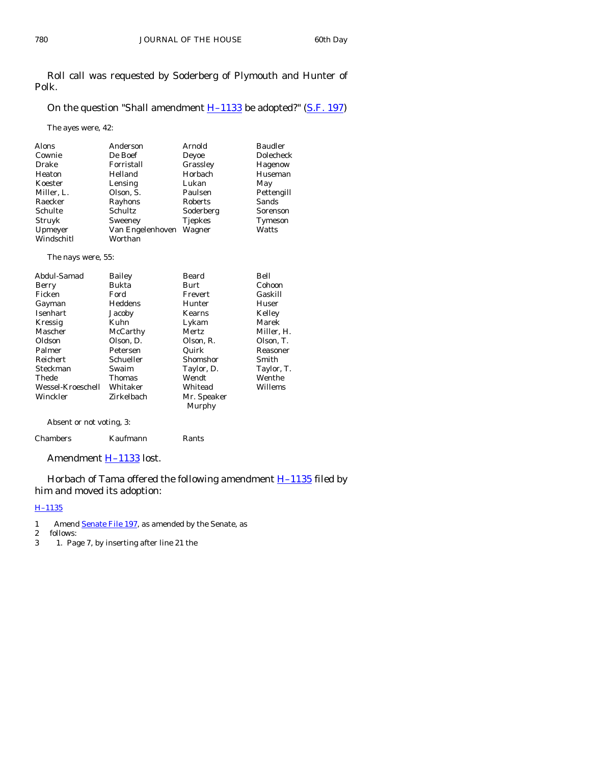Roll call was requested by Soderberg of Plymouth and Hunter of Polk.

# On the question "Shall amendment  $H-1133$  be adopted?" ([S.F. 197\)](http://coolice.legis.state.ia.us/Cool-ICE/default.asp?Category=billinfo&Service=Billbook&frame=1&GA=83&hbill=SF197)

The ayes were, 42:

| <b>Alons</b> | Anderson         | Arnold         | <b>Baudler</b> |
|--------------|------------------|----------------|----------------|
| Cownie       | De Boef          | Deyoe          | Dolecheck      |
| Drake        | Forristall       | Grassley       | Hagenow        |
| Heaton       | Helland          | Horbach        | Huseman        |
| Koester      | Lensing          | Lukan          | May            |
| Miller, L.   | Olson, S.        | Paulsen        | Pettengill     |
| Raecker      | Rayhons          | Roberts        | Sands          |
| Schulte      | Schultz          | Soderberg      | Sorenson       |
| Struyk       | Sweeney          | <b>Tjepkes</b> | Tymeson        |
| Upmeyer      | Van Engelenhoven | Wagner         | Watts          |
| Windschitl   | Worthan          |                |                |

The nays were, 55:

| Abdul-Samad       | Bailey        | Beard       | Bell       |
|-------------------|---------------|-------------|------------|
| Berry             | Bukta         | Burt        | Cohoon     |
| Ficken            | Ford          | Frevert     | Gaskill    |
| Gayman            | Heddens       | Hunter      | Huser      |
| Isenhart          | Jacoby        | Kearns      | Kelley     |
| Kressig           | Kuhn          | Lykam       | Marek      |
| Mascher           | McCarthy      | Mertz       | Miller, H. |
| Oldson            | Olson, D.     | Olson, R.   | Olson, T.  |
| Palmer            | Petersen      | Quirk       | Reasoner   |
| <b>Reichert</b>   | Schueller     | Shomshor    | Smith      |
| Steckman          | Swaim         | Taylor, D.  | Taylor, T. |
| Thede             | <b>Thomas</b> | Wendt       | Wenthe     |
| Wessel-Kroeschell | Whitaker      | Whitead     | Willems    |
| Winckler          | Zirkelbach    | Mr. Speaker |            |
|                   |               | Murphy      |            |

Absent or not voting, 3:

| Chambers | Kaufmann | Rants |
|----------|----------|-------|
|----------|----------|-------|

Amendment **H-1133** lost.

Horbach of Tama offered the following amendment **H-1135** filed by him and moved its adoption:

# [H–1135](http://coolice.legis.state.ia.us/Cool-ICE/default.asp?Category=billinfo&Service=Billbook&frame=1&GA=83&hbill=H1135)

- 1 Amend [Senate File 197](http://coolice.legis.state.ia.us/Cool-ICE/default.asp?Category=billinfo&Service=Billbook&frame=1&GA=83&hbill=SF197), as amended by the Senate, as 2 follows:
- 
- 2 follows:<br>3 1. Pag 3 1. Page 7, by inserting after line 21 the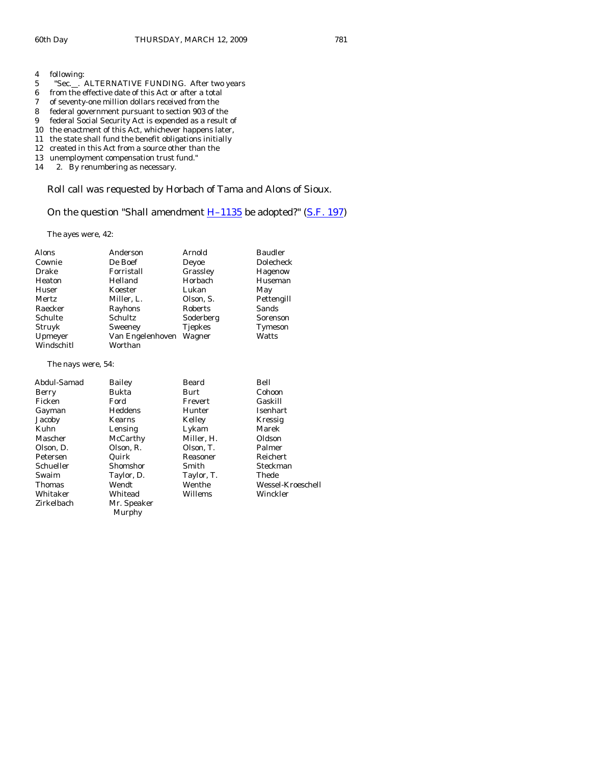- 4 following:
- 5 "Sec...." ALTERNATIVE FUNDING. After two years
- 6 from the effective date of this Act or after a total<br>7 of seventy-one million dollars received from the
- of seventy-one million dollars received from the
- 8 federal government pursuant to section 903 of the
- 9 federal Social Security Act is expended as a result of
- 10 the enactment of this Act, whichever happens later,
- 11 the state shall fund the benefit obligations initially
- 12 created in this Act from a source other than the
- 13 unemployment compensation trust fund."
- 14 2. By renumbering as necessary.

Roll call was requested by Horbach of Tama and Alons of Sioux.

On the question "Shall amendment  $H-1135$  be adopted?" ([S.F. 197\)](http://coolice.legis.state.ia.us/Cool-ICE/default.asp?Category=billinfo&Service=Billbook&frame=1&GA=83&hbill=SF197)

The ayes were, 42:

| Alons        | Anderson         | Arnold         | <b>Baudler</b> |
|--------------|------------------|----------------|----------------|
| Cownie       | De Boef          | Deyoe          | Dolecheck      |
| Drake        | Forristall       | Grassley       | Hagenow        |
| Heaton       | Helland          | Horbach        | Huseman        |
| Huser        | Koester          | Lukan          | May            |
| <b>Mertz</b> | Miller, L.       | Olson, S.      | Pettengill     |
| Raecker      | Rayhons          | Roberts        | Sands          |
| Schulte      | Schultz          | Soderberg      | Sorenson       |
| Struyk       | Sweeney          | <b>Tiepkes</b> | Tymeson        |
| Upmeyer      | Van Engelenhoven | Wagner         | Watts          |
| Windschitl   | Worthan          |                |                |

The nays were, 54:

| Bailey        | Beard      | Bell              |
|---------------|------------|-------------------|
| Bukta         | Burt       | Cohoon            |
| Ford          | Frevert    | Gaskill           |
| Heddens       | Hunter     | Isenhart          |
| <b>Kearns</b> | Kelley     | Kressig           |
| Lensing       | Lykam      | Marek             |
| McCarthy      | Miller, H. | Oldson            |
| Olson, R.     | Olson, T.  | Palmer            |
| Quirk         | Reasoner   | Reichert          |
| Shomshor      | Smith      | Steckman          |
| Taylor, D.    | Taylor, T. | Thede             |
| Wendt         | Wenthe     | Wessel-Kroeschell |
| Whitead       | Willems    | Winckler          |
| Mr. Speaker   |            |                   |
| Murphy        |            |                   |
|               |            |                   |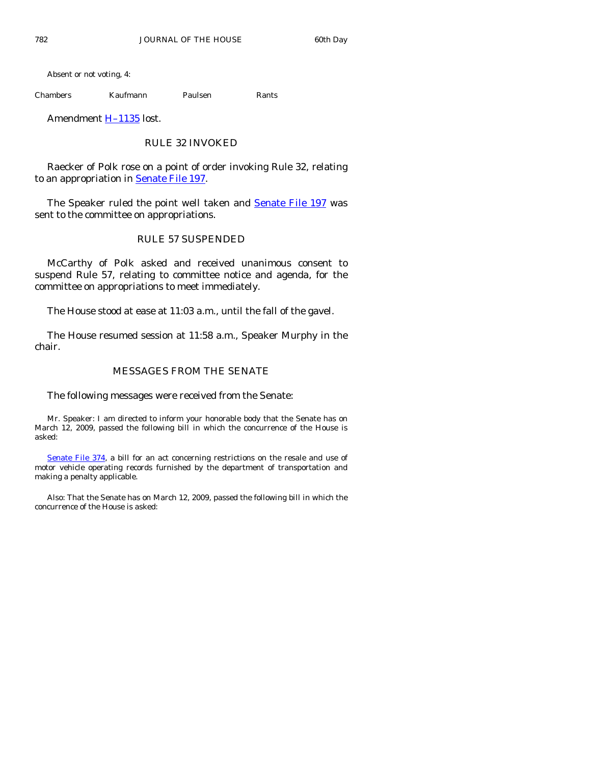Absent or not voting, 4:

Chambers Kaufmann Paulsen Rants

Amendment [H–1135](http://coolice.legis.state.ia.us/Cool-ICE/default.asp?Category=billinfo&Service=Billbook&frame=1&GA=83&hbill=H1135) lost.

# RULE 32 INVOKED

 Raecker of Polk rose on a point of order invoking Rule 32, relating to an appropriation in [Senate File 197.](http://coolice.legis.state.ia.us/Cool-ICE/default.asp?Category=billinfo&Service=Billbook&frame=1&GA=83&hbill=SF197)

The Speaker ruled the point well taken and [Senate File 197](http://coolice.legis.state.ia.us/Cool-ICE/default.asp?Category=billinfo&Service=Billbook&frame=1&GA=83&hbill=SF197) was sent to the committee on appropriations.

# RULE 57 SUSPENDED

 McCarthy of Polk asked and received unanimous consent to suspend Rule 57, relating to committee notice and agenda, for the committee on appropriations to meet immediately.

The House stood at ease at 11:03 a.m., until the fall of the gavel.

 The House resumed session at 11:58 a.m., Speaker Murphy in the chair.

# MESSAGES FROM THE SENATE

The following messages were received from the Senate:

 Mr. Speaker: I am directed to inform your honorable body that the Senate has on March 12, 2009, passed the following bill in which the concurrence of the House is asked:

[Senate File 374,](http://coolice.legis.state.ia.us/Cool-ICE/default.asp?Category=billinfo&Service=Billbook&frame=1&GA=83&hbill=SF374) a bill for an act concerning restrictions on the resale and use of motor vehicle operating records furnished by the department of transportation and making a penalty applicable.

 Also: That the Senate has on March 12, 2009, passed the following bill in which the concurrence of the House is asked: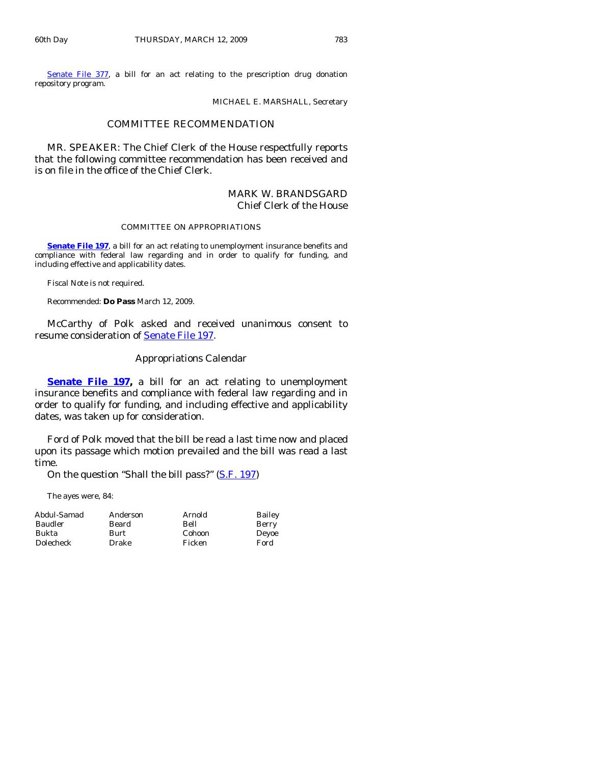[Senate File 377](http://coolice.legis.state.ia.us/Cool-ICE/default.asp?Category=billinfo&Service=Billbook&frame=1&GA=83&hbill=SF377), a bill for an act relating to the prescription drug donation repository program.

MICHAEL E. MARSHALL, Secretary

#### COMMITTEE RECOMMENDATION

 MR. SPEAKER: The Chief Clerk of the House respectfully reports that the following committee recommendation has been received and is on file in the office of the Chief Clerk.

# MARK W. BRANDSGARD Chief Clerk of the House

#### COMMITTEE ON APPROPRIATIONS

**[Senate File 197](http://coolice.legis.state.ia.us/Cool-ICE/default.asp?Category=billinfo&Service=Billbook&frame=1&GA=83&hbill=SF197)**, a bill for an act relating to unemployment insurance benefits and compliance with federal law regarding and in order to qualify for funding, and including effective and applicability dates.

Fiscal Note is not required.

Recommended: **Do Pass** March 12, 2009.

 McCarthy of Polk asked and received unanimous consent to resume consideration of [Senate File 197](http://coolice.legis.state.ia.us/Cool-ICE/default.asp?Category=billinfo&Service=Billbook&frame=1&GA=83&hbill=SF197).

#### Appropriations Calendar

**[Senate File 197](http://coolice.legis.state.ia.us/Cool-ICE/default.asp?Category=billinfo&Service=Billbook&frame=1&GA=83&hbill=SF197),** a bill for an act relating to unemployment insurance benefits and compliance with federal law regarding and in order to qualify for funding, and including effective and applicability dates, was taken up for consideration.

 Ford of Polk moved that the bill be read a last time now and placed upon its passage which motion prevailed and the bill was read a last time.

On the question "Shall the bill pass?" [\(S.F. 197](http://coolice.legis.state.ia.us/Cool-ICE/default.asp?Category=billinfo&Service=Billbook&frame=1&GA=83&hbill=SF197))

The ayes were, 84:

| Abdul-Samad | Anderson | Arnold | Bailey |
|-------------|----------|--------|--------|
| Baudler     | Beard    | Bell   | Berry  |
| Bukta       | Burt     | Cohoon | Deyoe  |
| Dolecheck   | Drake    | Ficken | Ford   |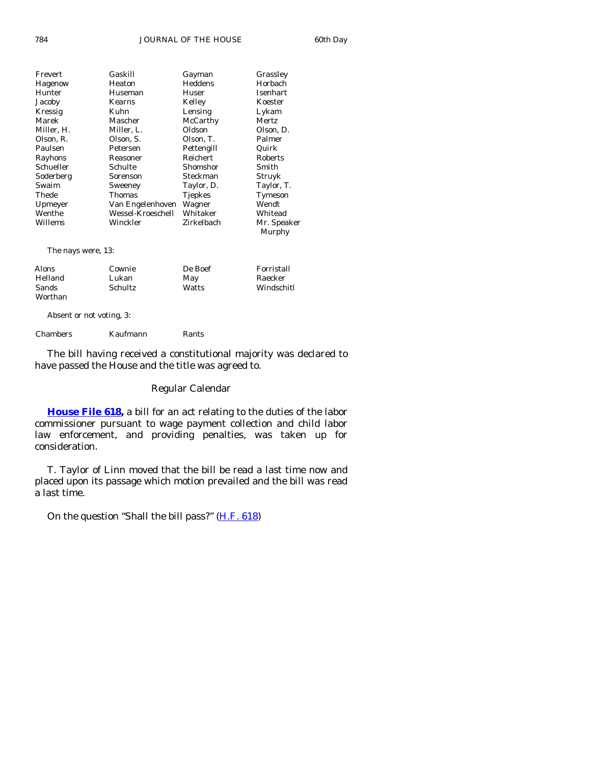| Frevert    | Gaskill           | Gayman         | Grassley              |
|------------|-------------------|----------------|-----------------------|
| Hagenow    | Heaton            | Heddens        | Horbach               |
| Hunter     | Huseman           | Huser          | Isenhart              |
| Jacoby     | Kearns            | Kelley         | Koester               |
| Kressig    | Kuhn              | Lensing        | Lykam                 |
| Marek      | Mascher           | McCarthy       | Mertz                 |
| Miller, H. | Miller, L.        | Oldson         | Olson, D.             |
| Olson, R.  | Olson, S.         | Olson, T.      | Palmer                |
| Paulsen    | Petersen          | Pettengill     | Quirk                 |
| Rayhons    | Reasoner          | Reichert       | <b>Roberts</b>        |
| Schueller  | Schulte           | Shomshor       | Smith                 |
| Soderberg  | Sorenson          | Steckman       | Struyk                |
| Swaim      | Sweeney           | Taylor, D.     | Taylor, T.            |
| Thede      | Thomas            | <b>Tjepkes</b> | Tymeson               |
| Upmeyer    | Van Engelenhoven  | Wagner         | Wendt                 |
| Wenthe     | Wessel-Kroeschell | Whitaker       | Whitead               |
| Willems    | Winckler          | Zirkelbach     | Mr. Speaker<br>Murphy |
|            |                   |                |                       |

The nays were, 13:

| Alons   | Cownie   | De Boef | Forristall |
|---------|----------|---------|------------|
| Helland | Lukan    | May     | Raecker    |
| Sands   | Schultz. | Watts   | Windschitl |
| Worthan |          |         |            |

Absent or not voting, 3:

Chambers Kaufmann Rants

 The bill having received a constitutional majority was declared to have passed the House and the title was agreed to.

## Regular Calendar

**[House File 618](http://coolice.legis.state.ia.us/Cool-ICE/default.asp?Category=billinfo&Service=Billbook&frame=1&GA=83&hbill=HF618),** a bill for an act relating to the duties of the labor commissioner pursuant to wage payment collection and child labor law enforcement, and providing penalties, was taken up for consideration.

 T. Taylor of Linn moved that the bill be read a last time now and placed upon its passage which motion prevailed and the bill was read a last time.

On the question "Shall the bill pass?" [\(H.F. 618](http://coolice.legis.state.ia.us/Cool-ICE/default.asp?Category=billinfo&Service=Billbook&frame=1&GA=83&hbill=HF618))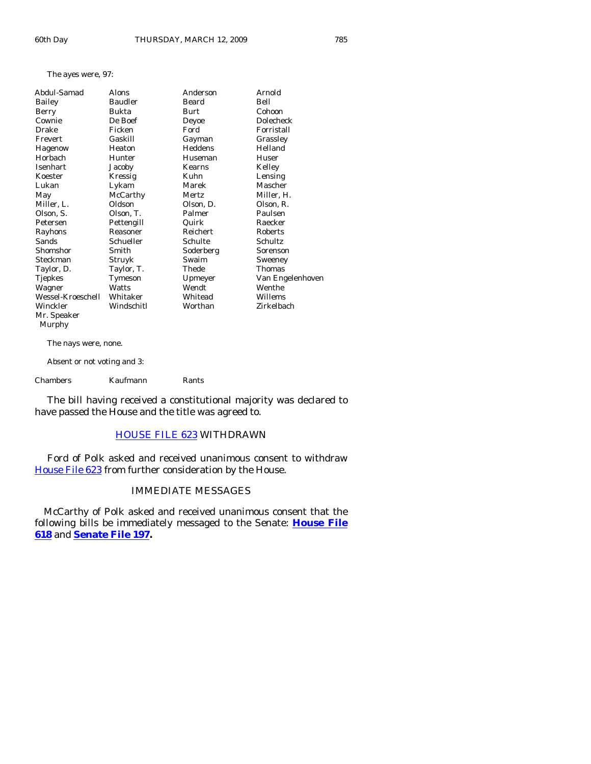#### The ayes were, 97:

| Abdul-Samad       | Alons          | Anderson  | Arnold           |
|-------------------|----------------|-----------|------------------|
| Bailey            | <b>Baudler</b> | Beard     | Bell             |
| Berry             | Bukta          | Burt      | Cohoon           |
| Cownie            | De Boef        | Deyoe     | <b>Dolecheck</b> |
| Drake             | Ficken         | Ford      | Forristall       |
| Frevert           | Gaskill        | Gayman    | Grassley         |
| Hagenow           | Heaton         | Heddens   | Helland          |
| Horbach           | Hunter         | Huseman   | Huser            |
| Isenhart          | Jacoby         | Kearns    | Kelley           |
| Koester           | Kressig        | Kuhn      | Lensing          |
| Lukan             | Lykam          | Marek     | Mascher          |
| May               | McCarthy       | Mertz     | Miller, H.       |
| Miller, L.        | Oldson         | Olson, D. | Olson, R.        |
| Olson, S.         | Olson, T.      | Palmer    | Paulsen          |
| Petersen          | Pettengill     | Quirk     | Raecker          |
| Rayhons           | Reasoner       | Reichert  | Roberts          |
| Sands             | Schueller      | Schulte   | Schultz          |
| Shomshor          | Smith          | Soderberg | Sorenson         |
| Steckman          | Struyk         | Swaim     | Sweeney          |
| Taylor, D.        | Taylor, T.     | Thede     | Thomas           |
| Tjepkes           | Tymeson        | Upmeyer   | Van Engelenhoven |
| Wagner            | Watts          | Wendt     | Wenthe           |
| Wessel-Kroeschell | Whitaker       | Whitead   | Willems          |
| Winckler          | Windschitl     | Worthan   | Zirkelbach       |
| Mr. Speaker       |                |           |                  |
| Murphy            |                |           |                  |

The nays were, none.

Absent or not voting and 3:

Chambers Kaufmann Rants

 The bill having received a constitutional majority was declared to have passed the House and the title was agreed to.

# [HOUSE FILE 623](http://coolice.legis.state.ia.us/Cool-ICE/default.asp?Category=billinfo&Service=Billbook&frame=1&GA=83&hbill=HF623) WITHDRAWN

 Ford of Polk asked and received unanimous consent to withdraw [House File 623](http://coolice.legis.state.ia.us/Cool-ICE/default.asp?Category=billinfo&Service=Billbook&frame=1&GA=83&hbill=HF623) from further consideration by the House.

# IMMEDIATE MESSAGES

 McCarthy of Polk asked and received unanimous consent that the following bills be immediately messaged to the Senate: **[House File](http://coolice.legis.state.ia.us/Cool-ICE/default.asp?Category=billinfo&Service=Billbook&frame=1&GA=83&hbill=HF618) [618](http://coolice.legis.state.ia.us/Cool-ICE/default.asp?Category=billinfo&Service=Billbook&frame=1&GA=83&hbill=HF618)** and **[Senate File 197.](http://coolice.legis.state.ia.us/Cool-ICE/default.asp?Category=billinfo&Service=Billbook&frame=1&GA=83&hbill=SF197)**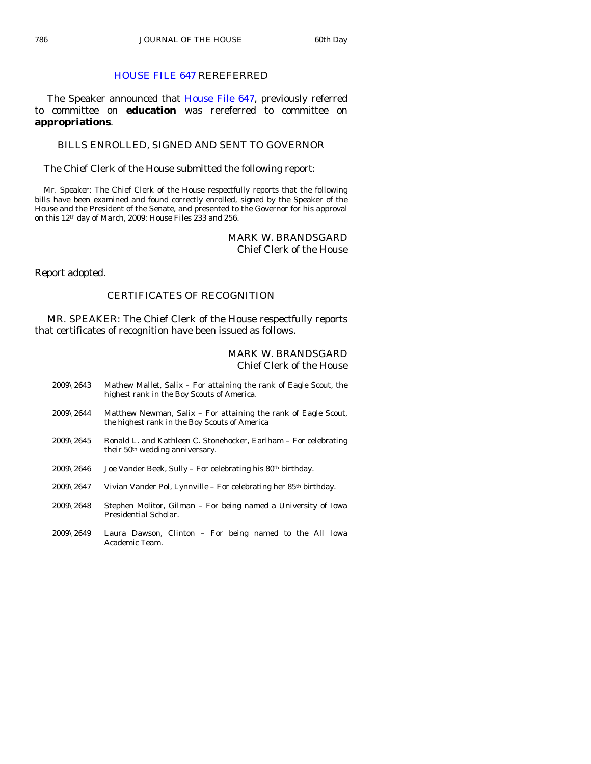# [HOUSE FILE 647](http://coolice.legis.state.ia.us/Cool-ICE/default.asp?Category=billinfo&Service=Billbook&frame=1&GA=83&hbill=HF647) REREFERRED

The Speaker announced that [House File 647,](http://coolice.legis.state.ia.us/Cool-ICE/default.asp?Category=billinfo&Service=Billbook&frame=1&GA=83&hbill=HF647) previously referred to committee on **education** was rereferred to committee on **appropriations**.

# BILLS ENROLLED, SIGNED AND SENT TO GOVERNOR

The Chief Clerk of the House submitted the following report:

 Mr. Speaker: The Chief Clerk of the House respectfully reports that the following bills have been examined and found correctly enrolled, signed by the Speaker of the House and the President of the Senate, and presented to the Governor for his approval on this 12th day of March, 2009: House Files 233 and 256.

# MARK W. BRANDSGARD Chief Clerk of the House

Report adopted.

# CERTIFICATES OF RECOGNITION

 MR. SPEAKER: The Chief Clerk of the House respectfully reports that certificates of recognition have been issued as follows.

# MARK W. BRANDSGARD Chief Clerk of the House

- 2009\2643 Mathew Mallet, Salix For attaining the rank of Eagle Scout, the highest rank in the Boy Scouts of America.
- 2009\2644 Matthew Newman, Salix For attaining the rank of Eagle Scout, the highest rank in the Boy Scouts of America
- 2009\2645 Ronald L. and Kathleen C. Stonehocker, Earlham For celebrating their 50<sup>th</sup> wedding anniversary.
- $2009\backslash2646$  Joe Vander Beek, Sully For celebrating his 80<sup>th</sup> birthday.
- 2009\2647 Vivian Vander Pol, Lynnville For celebrating her 85th birthday.
- 2009\2648 Stephen Molitor, Gilman For being named a University of Iowa Presidential Scholar.
- 2009\2649 Laura Dawson, Clinton For being named to the All Iowa Academic Team.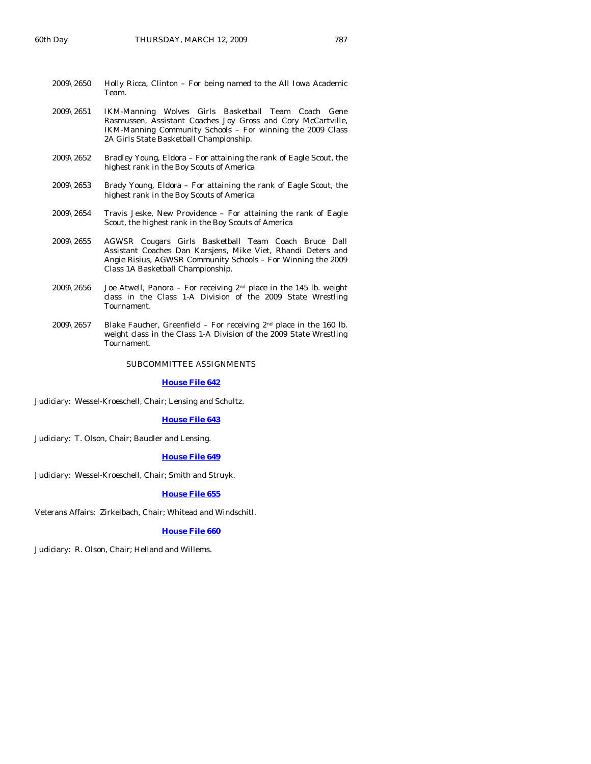| $2009\backslash 2650$ | Holly Ricca, Clinton – For being named to the All Iowa Academic |  |
|-----------------------|-----------------------------------------------------------------|--|
|                       | Team.                                                           |  |

- 2009\2651 IKM-Manning Wolves Girls Basketball Team Coach Gene Rasmussen, Assistant Coaches Joy Gross and Cory McCartville, IKM-Manning Community Schools – For winning the 2009 Class 2A Girls State Basketball Championship.
- 2009\2652 Bradley Young, Eldora For attaining the rank of Eagle Scout, the highest rank in the Boy Scouts of America
- 2009\2653 Brady Young, Eldora For attaining the rank of Eagle Scout, the highest rank in the Boy Scouts of America
- $2009\sqrt{2654}$  Travis Jeske, New Providence For attaining the rank of Eagle Scout, the highest rank in the Boy Scouts of America
- 2009\2655 AGWSR Cougars Girls Basketball Team Coach Bruce Dall Assistant Coaches Dan Karsjens, Mike Viet, Rhandi Deters and Angie Risius, AGWSR Community Schools – For Winning the 2009 Class 1A Basketball Championship.
- 2009\2656 Joe Atwell, Panora For receiving  $2<sup>nd</sup>$  place in the 145 lb. weight class in the Class 1-A Division of the 2009 State Wrestling Tournament.
- 2009\2657 Blake Faucher, Greenfield For receiving  $2<sup>nd</sup>$  place in the 160 lb. weight class in the Class 1-A Division of the 2009 State Wrestling Tournament.

#### SUBCOMMITTEE ASSIGNMENTS

#### **[House File 642](http://coolice.legis.state.ia.us/Cool-ICE/default.asp?Category=billinfo&Service=Billbook&frame=1&GA=83&hbill=HF642)**

Judiciary: Wessel-Kroeschell, Chair; Lensing and Schultz.

#### **[House File 643](http://coolice.legis.state.ia.us/Cool-ICE/default.asp?Category=billinfo&Service=Billbook&frame=1&GA=83&hbill=HF643)**

Judiciary: T. Olson, Chair; Baudler and Lensing.

#### **[House File 649](http://coolice.legis.state.ia.us/Cool-ICE/default.asp?Category=billinfo&Service=Billbook&frame=1&GA=83&hbill=HF649)**

Judiciary: Wessel-Kroeschell, Chair; Smith and Struyk.

#### **[House File 655](http://coolice.legis.state.ia.us/Cool-ICE/default.asp?Category=billinfo&Service=Billbook&frame=1&GA=83&hbill=HF655)**

Veterans Affairs: Zirkelbach, Chair; Whitead and Windschitl.

#### **[House File 660](http://coolice.legis.state.ia.us/Cool-ICE/default.asp?Category=billinfo&Service=Billbook&frame=1&GA=83&hbill=HF660)**

Judiciary: R. Olson, Chair; Helland and Willems.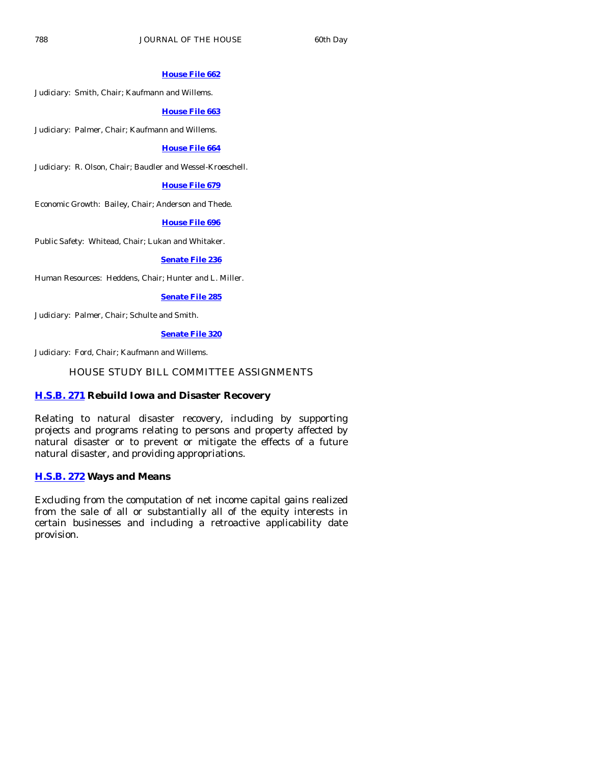# **[House File 662](http://coolice.legis.state.ia.us/Cool-ICE/default.asp?Category=billinfo&Service=Billbook&frame=1&GA=83&hbill=HF662)**

Judiciary: Smith, Chair; Kaufmann and Willems.

### **[House File 663](http://coolice.legis.state.ia.us/Cool-ICE/default.asp?Category=billinfo&Service=Billbook&frame=1&GA=83&hbill=HF663)**

Judiciary: Palmer, Chair; Kaufmann and Willems.

### **[House File 664](http://coolice.legis.state.ia.us/Cool-ICE/default.asp?Category=billinfo&Service=Billbook&frame=1&GA=83&hbill=HF664)**

Judiciary: R. Olson, Chair; Baudler and Wessel-Kroeschell.

### **[House File 679](http://coolice.legis.state.ia.us/Cool-ICE/default.asp?Category=billinfo&Service=Billbook&frame=1&GA=83&hbill=HF679)**

Economic Growth: Bailey, Chair; Anderson and Thede.

#### **[House File 696](http://coolice.legis.state.ia.us/Cool-ICE/default.asp?Category=billinfo&Service=Billbook&frame=1&GA=83&hbill=HF696)**

Public Safety: Whitead, Chair; Lukan and Whitaker.

# **[Senate File 236](http://coolice.legis.state.ia.us/Cool-ICE/default.asp?Category=billinfo&Service=Billbook&frame=1&GA=83&hbill=SF236)**

Human Resources: Heddens, Chair; Hunter and L. Miller.

#### **[Senate File 285](http://coolice.legis.state.ia.us/Cool-ICE/default.asp?Category=billinfo&Service=Billbook&frame=1&GA=83&hbill=SF285)**

Judiciary: Palmer, Chair; Schulte and Smith.

# **[Senate File 320](http://coolice.legis.state.ia.us/Cool-ICE/default.asp?Category=billinfo&Service=Billbook&frame=1&GA=83&hbill=SF320)**

Judiciary: Ford, Chair; Kaufmann and Willems.

# HOUSE STUDY BILL COMMITTEE ASSIGNMENTS

# **[H.S.B. 271](http://coolice.legis.state.ia.us/Cool-ICE/default.asp?Category=billinfo&Service=Billbook&frame=1&GA=83&hbill=HSB271) Rebuild Iowa and Disaster Recovery**

Relating to natural disaster recovery, including by supporting projects and programs relating to persons and property affected by natural disaster or to prevent or mitigate the effects of a future natural disaster, and providing appropriations.

# **[H.S.B. 272](http://coolice.legis.state.ia.us/Cool-ICE/default.asp?Category=billinfo&Service=Billbook&frame=1&GA=83&hbill=HSB272) Ways and Means**

Excluding from the computation of net income capital gains realized from the sale of all or substantially all of the equity interests in certain businesses and including a retroactive applicability date provision.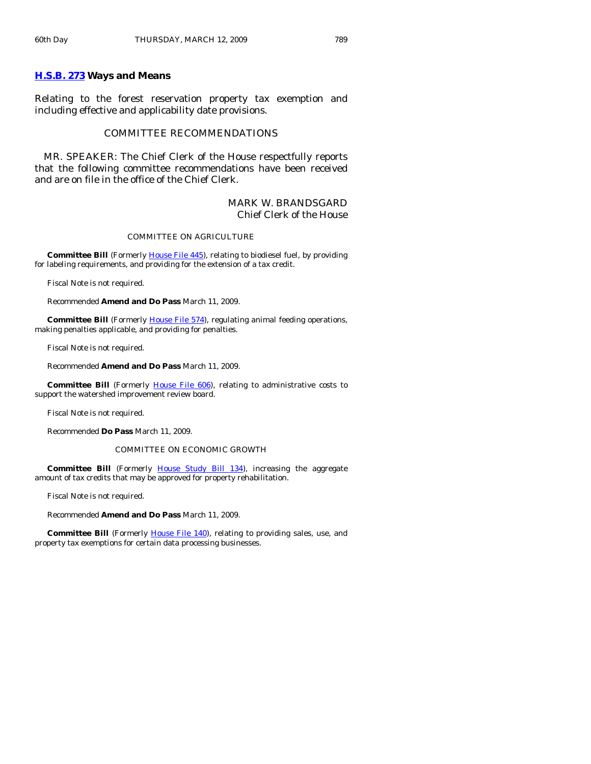# **[H.S.B. 273](http://coolice.legis.state.ia.us/Cool-ICE/default.asp?Category=billinfo&Service=Billbook&frame=1&GA=83&hbill=HSB273) Ways and Means**

Relating to the forest reservation property tax exemption and including effective and applicability date provisions.

# COMMITTEE RECOMMENDATIONS

 MR. SPEAKER: The Chief Clerk of the House respectfully reports that the following committee recommendations have been received and are on file in the office of the Chief Clerk.

# MARK W. BRANDSGARD Chief Clerk of the House

#### COMMITTEE ON AGRICULTURE

**Committee Bill** (Formerly [House File 445](http://coolice.legis.state.ia.us/Cool-ICE/default.asp?Category=billinfo&Service=Billbook&frame=1&GA=83&hbill=HF445)), relating to biodiesel fuel, by providing for labeling requirements, and providing for the extension of a tax credit.

Fiscal Note is not required.

Recommended **Amend and Do Pass** March 11, 2009.

**Committee Bill** (Formerly *[House File 574](http://coolice.legis.state.ia.us/Cool-ICE/default.asp?Category=billinfo&Service=Billbook&frame=1&GA=83&hbill=HF574)*), regulating animal feeding operations, making penalties applicable, and providing for penalties.

Fiscal Note is not required.

Recommended **Amend and Do Pass** March 11, 2009.

**Committee Bill** (Formerly [House File 606](http://coolice.legis.state.ia.us/Cool-ICE/default.asp?Category=billinfo&Service=Billbook&frame=1&GA=83&hbill=HF606)), relating to administrative costs to support the watershed improvement review board.

Fiscal Note is not required.

Recommended **Do Pass** March 11, 2009.

#### COMMITTEE ON ECONOMIC GROWTH

**Committee Bill** (Formerly [House Study Bill 134\)](http://coolice.legis.state.ia.us/Cool-ICE/default.asp?Category=billinfo&Service=Billbook&frame=1&GA=83&hbill=HSB134), increasing the aggregate amount of tax credits that may be approved for property rehabilitation.

Fiscal Note is not required.

Recommended **Amend and Do Pass** March 11, 2009.

**Committee Bill** (Formerly *[House File 140](http://coolice.legis.state.ia.us/Cool-ICE/default.asp?Category=billinfo&Service=Billbook&frame=1&GA=83&hbill=HF140)*), relating to providing sales, use, and property tax exemptions for certain data processing businesses.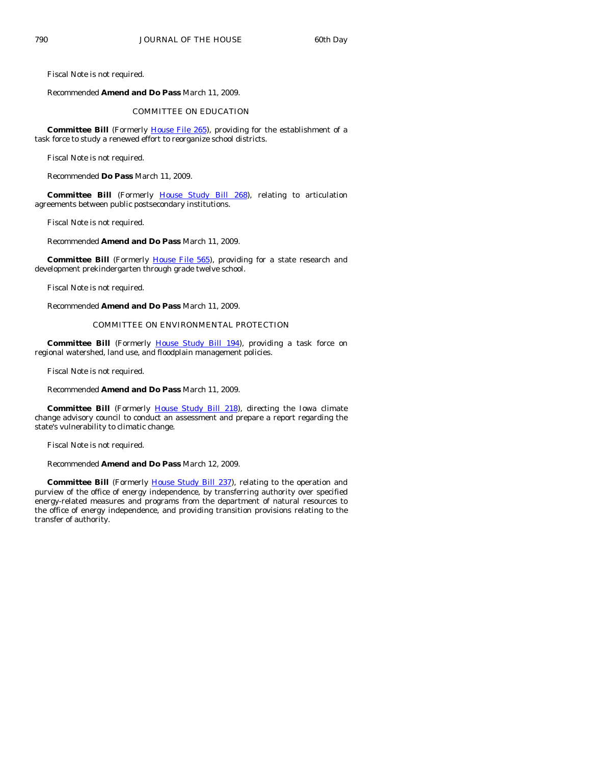Fiscal Note is not required.

Recommended **Amend and Do Pass** March 11, 2009.

#### COMMITTEE ON EDUCATION

**Committee Bill** (Formerly [House File 265](http://coolice.legis.state.ia.us/Cool-ICE/default.asp?Category=billinfo&Service=Billbook&frame=1&GA=83&hbill=HF265)), providing for the establishment of a task force to study a renewed effort to reorganize school districts.

Fiscal Note is not required.

Recommended **Do Pass** March 11, 2009.

**Committee Bill** (Formerly [House Study Bill 268](http://coolice.legis.state.ia.us/Cool-ICE/default.asp?Category=billinfo&Service=Billbook&frame=1&GA=83&hbill=HSB268)), relating to articulation agreements between public postsecondary institutions.

Fiscal Note is not required.

Recommended **Amend and Do Pass** March 11, 2009.

**Committee Bill** (Formerly [House File 565](http://coolice.legis.state.ia.us/Cool-ICE/default.asp?Category=billinfo&Service=Billbook&frame=1&GA=83&hbill=HF565)), providing for a state research and development prekindergarten through grade twelve school.

Fiscal Note is not required.

Recommended **Amend and Do Pass** March 11, 2009.

#### COMMITTEE ON ENVIRONMENTAL PROTECTION

 **Committee Bill** (Formerly [House Study Bill 194\)](http://coolice.legis.state.ia.us/Cool-ICE/default.asp?Category=billinfo&Service=Billbook&frame=1&GA=83&hbill=HSB194), providing a task force on regional watershed, land use, and floodplain management policies.

Fiscal Note is not required.

Recommended **Amend and Do Pass** March 11, 2009.

**Committee Bill** (Formerly [House Study Bill 218](http://coolice.legis.state.ia.us/Cool-ICE/default.asp?Category=billinfo&Service=Billbook&frame=1&GA=83&hbill=HSB218)), directing the Iowa climate change advisory council to conduct an assessment and prepare a report regarding the state's vulnerability to climatic change.

Fiscal Note is not required.

Recommended **Amend and Do Pass** March 12, 2009.

Committee Bill (Formerly **[House Study Bill](http://coolice.legis.state.ia.us/Cool-ICE/default.asp?Category=billinfo&Service=Billbook&frame=1&GA=83&hbill=HSB237) 237**), relating to the operation and purview of the office of energy independence, by transferring authority over specified energy-related measures and programs from the department of natural resources to the office of energy independence, and providing transition provisions relating to the transfer of authority.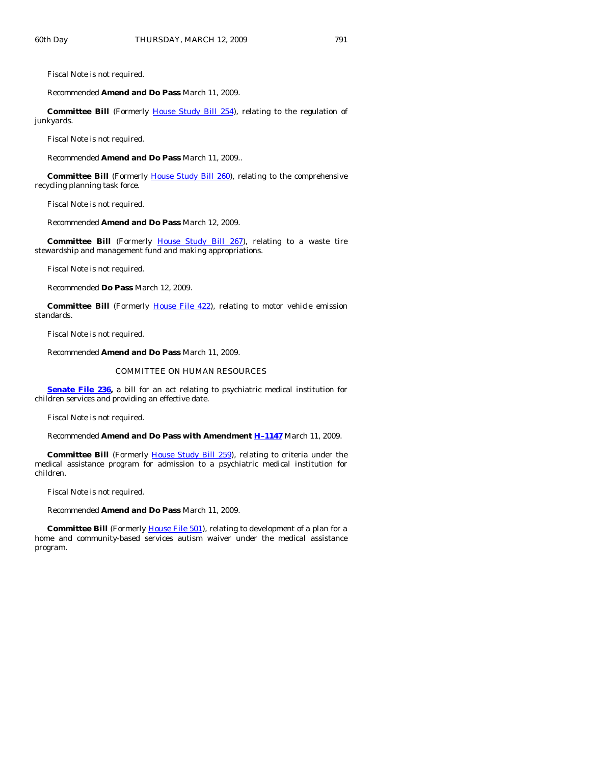Fiscal Note is not required.

#### Recommended **Amend and Do Pass** March 11, 2009.

**Committee Bill** (Formerly [House Study Bill 254\)](http://coolice.legis.state.ia.us/Cool-ICE/default.asp?Category=billinfo&Service=Billbook&frame=1&GA=83&hbill=HSB254), relating to the regulation of junkyards.

Fiscal Note is not required.

Recommended **Amend and Do Pass** March 11, 2009..

**Committee Bill** (Formerly **[House Study Bill 260](http://coolice.legis.state.ia.us/Cool-ICE/default.asp?Category=billinfo&Service=Billbook&frame=1&GA=83&hbill=HSB260)**), relating to the comprehensive recycling planning task force.

Fiscal Note is not required.

Recommended **Amend and Do Pass** March 12, 2009.

 **Committee Bill** (Formerly [House Study Bill 267\)](http://coolice.legis.state.ia.us/Cool-ICE/default.asp?Category=billinfo&Service=Billbook&frame=1&GA=83&hbill=HSB267), relating to a waste tire stewardship and management fund and making appropriations.

Fiscal Note is not required.

Recommended **Do Pass** March 12, 2009.

**Committee Bill** (Formerly *[House File 422](http://coolice.legis.state.ia.us/Cool-ICE/default.asp?Category=billinfo&Service=Billbook&frame=1&GA=83&hbill=HF422))*, relating to motor vehicle emission standards.

Fiscal Note is not required.

Recommended **Amend and Do Pass** March 11, 2009.

#### COMMITTEE ON HUMAN RESOURCES

**[Senate File 236,](http://coolice.legis.state.ia.us/Cool-ICE/default.asp?Category=billinfo&Service=Billbook&frame=1&GA=83&hbill=SF236)** a bill for an act relating to psychiatric medical institution for children services and providing an effective date.

Fiscal Note is not required.

Recommended **Amend and Do Pass with Amendment [H–1147](http://coolice.legis.state.ia.us/Cool-ICE/default.asp?Category=billinfo&Service=Billbook&frame=1&GA=83&hbill=H1147)** March 11, 2009.

**Committee Bill** (Formerly *House Study Bill 259*), relating to criteria under the medical assistance program for admission to a psychiatric medical institution for children.

Fiscal Note is not required.

Recommended **Amend and Do Pass** March 11, 2009.

**Committee Bill** (Formerly *House File 501*), relating to development of a plan for a home and community-based services autism waiver under the medical assistance program.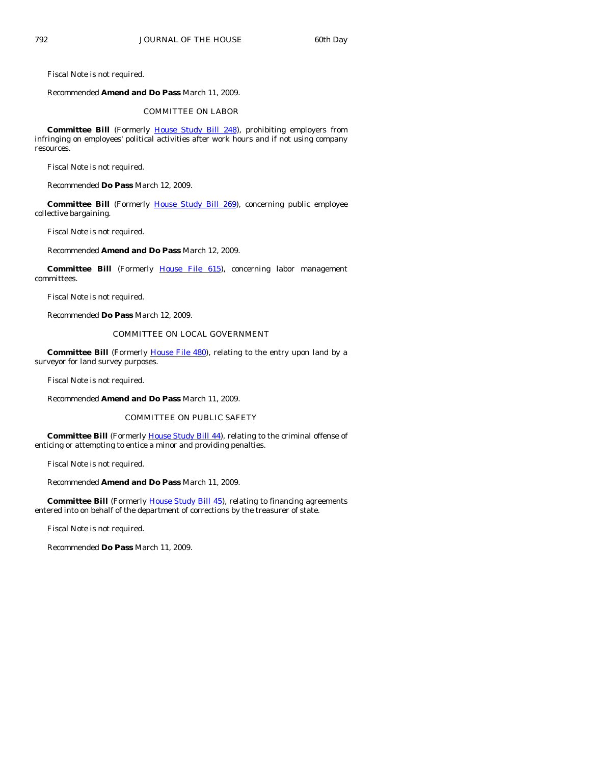Fiscal Note is not required.

#### Recommended **Amend and Do Pass** March 11, 2009.

#### COMMITTEE ON LABOR

 **Committee Bill** (Formerly [House Study Bill 248](http://coolice.legis.state.ia.us/Cool-ICE/default.asp?Category=billinfo&Service=Billbook&frame=1&GA=83&hbill=HSB248)), prohibiting employers from infringing on employees' political activities after work hours and if not using company resources.

Fiscal Note is not required.

Recommended **Do Pass** March 12, 2009.

Committee Bill (Formerly [House Study Bill 269\)](http://coolice.legis.state.ia.us/Cool-ICE/default.asp?Category=billinfo&Service=Billbook&frame=1&GA=83&hbill=HSB269), concerning public employee collective bargaining.

Fiscal Note is not required.

Recommended **Amend and Do Pass** March 12, 2009.

**Committee Bill** (Formerly [House File 615\)](http://coolice.legis.state.ia.us/Cool-ICE/default.asp?Category=billinfo&Service=Billbook&frame=1&GA=83&hbill=HF615), concerning labor management committees.

Fiscal Note is not required.

Recommended **Do Pass** March 12, 2009.

# COMMITTEE ON LOCAL GOVERNMENT

**Committee Bill** (Formerly [House File 480](http://coolice.legis.state.ia.us/Cool-ICE/default.asp?Category=billinfo&Service=Billbook&frame=1&GA=83&hbill=HF480)), relating to the entry upon land by a surveyor for land survey purposes.

Fiscal Note is not required.

Recommended **Amend and Do Pass** March 11, 2009.

#### COMMITTEE ON PUBLIC SAFETY

**Committee Bill** (Formerly [House Study Bill 44](http://coolice.legis.state.ia.us/Cool-ICE/default.asp?Category=billinfo&Service=Billbook&frame=1&GA=83&hbill=HSB44)), relating to the criminal offense of enticing or attempting to entice a minor and providing penalties.

Fiscal Note is not required.

Recommended **Amend and Do Pass** March 11, 2009.

**Committee Bill** (Formerly [House Study Bill 45](http://coolice.legis.state.ia.us/Cool-ICE/default.asp?Category=billinfo&Service=Billbook&frame=1&GA=83&hbill=HSB45)), relating to financing agreements entered into on behalf of the department of corrections by the treasurer of state.

Fiscal Note is not required.

Recommended **Do Pass** March 11, 2009.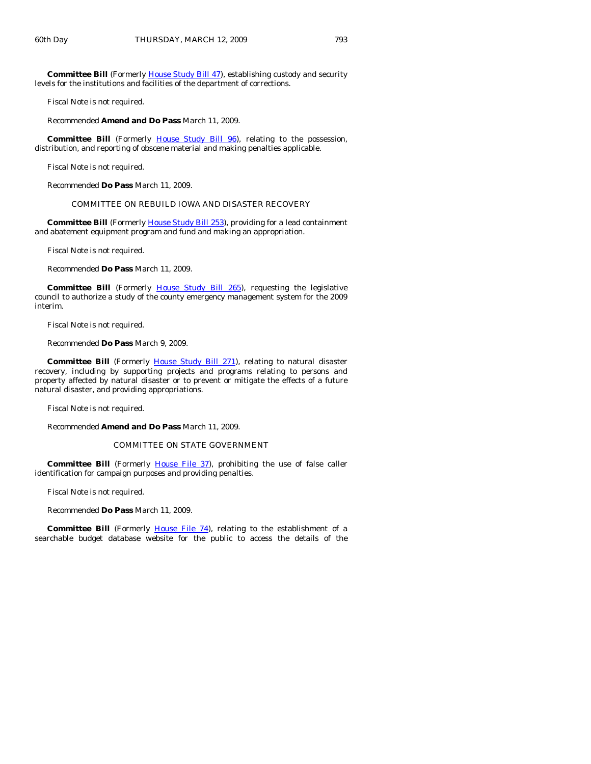**Committee Bill** (Formerly [House Study Bill 47](http://coolice.legis.state.ia.us/Cool-ICE/default.asp?Category=billinfo&Service=Billbook&frame=1&GA=83&hbill=HSB47)), establishing custody and security levels for the institutions and facilities of the department of corrections.

Fiscal Note is not required.

Recommended **Amend and Do Pass** March 11, 2009.

**Committee Bill** (Formerly [House Study Bill 96\)](http://coolice.legis.state.ia.us/Cool-ICE/default.asp?Category=billinfo&Service=Billbook&frame=1&GA=83&hbill=HSB96), relating to the possession, distribution, and reporting of obscene material and making penalties applicable.

Fiscal Note is not required.

Recommended **Do Pass** March 11, 2009.

COMMITTEE ON REBUILD IOWA AND DISASTER RECOVERY

**Committee Bill** (Formerly **House Study Bill 253**), providing for a lead containment and abatement equipment program and fund and making an appropriation.

Fiscal Note is not required.

Recommended **Do Pass** March 11, 2009.

**Committee Bill** (Formerly [House Study Bill 265\)](http://coolice.legis.state.ia.us/Cool-ICE/default.asp?Category=billinfo&Service=Billbook&frame=1&GA=83&hbill=HSB265), requesting the legislative council to authorize a study of the county emergency management system for the 2009 interim.

Fiscal Note is not required.

Recommended **Do Pass** March 9, 2009.

**Committee Bill** (Formerly [House Study Bill 271\)](http://coolice.legis.state.ia.us/Cool-ICE/default.asp?Category=billinfo&Service=Billbook&frame=1&GA=83&hbill=HSB271), relating to natural disaster recovery, including by supporting projects and programs relating to persons and property affected by natural disaster or to prevent or mitigate the effects of a future natural disaster, and providing appropriations.

Fiscal Note is not required.

Recommended **Amend and Do Pass** March 11, 2009.

#### COMMITTEE ON STATE GOVERNMENT

**Committee Bill** (Formerly [House File 37](http://coolice.legis.state.ia.us/Cool-ICE/default.asp?Category=billinfo&Service=Billbook&frame=1&GA=83&hbill=HF37)), prohibiting the use of false caller identification for campaign purposes and providing penalties.

Fiscal Note is not required.

Recommended **Do Pass** March 11, 2009.

**Committee Bill** (Formerly [House File 74\)](http://coolice.legis.state.ia.us/Cool-ICE/default.asp?Category=billinfo&Service=Billbook&frame=1&GA=83&hbill=HF74), relating to the establishment of a searchable budget database website for the public to access the details of the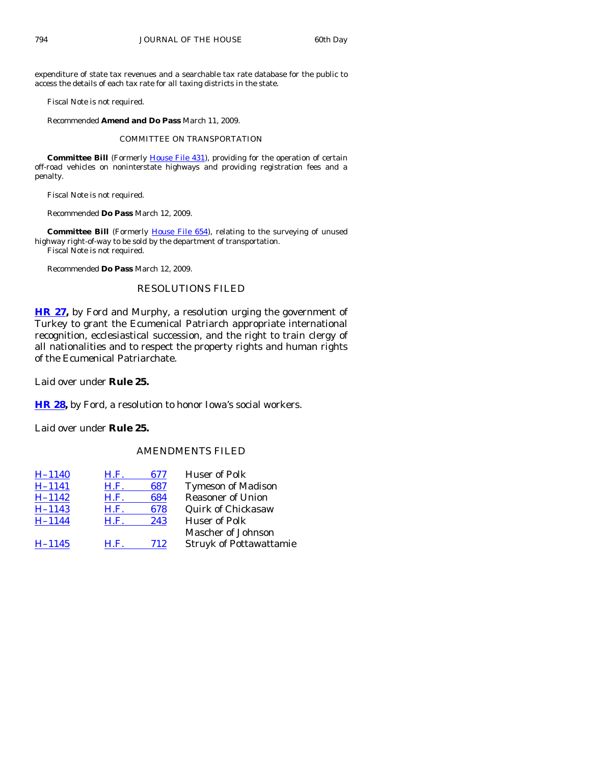expenditure of state tax revenues and a searchable tax rate database for the public to access the details of each tax rate for all taxing districts in the state.

Fiscal Note is not required.

Recommended **Amend and Do Pass** March 11, 2009.

COMMITTEE ON TRANSPORTATION

**Committee Bill** (Formerly *[House File 431](http://coolice.legis.state.ia.us/Cool-ICE/default.asp?Category=billinfo&Service=Billbook&frame=1&GA=83&hbill=HF431)*), providing for the operation of certain off-road vehicles on noninterstate highways and providing registration fees and a penalty.

Fiscal Note is not required.

Recommended **Do Pass** March 12, 2009.

**Committee Bill** (Formerly [House File 654](http://coolice.legis.state.ia.us/Cool-ICE/default.asp?Category=billinfo&Service=Billbook&frame=1&GA=83&hbill=HF654)), relating to the surveying of unused highway right-of-way to be sold by the department of transportation. Fiscal Note is not required.

Recommended **Do Pass** March 12, 2009.

# RESOLUTIONS FILED

**[HR 27](http://coolice.legis.state.ia.us/Cool-ICE/default.asp?Category=billinfo&Service=Billbook&frame=1&GA=83&hbill=HR27),** by Ford and Murphy, a resolution urging the government of Turkey to grant the Ecumenical Patriarch appropriate international recognition, ecclesiastical succession, and the right to train clergy of all nationalities and to respect the property rights and human rights of the Ecumenical Patriarchate.

Laid over under **Rule 25.** 

**[HR 28](http://coolice.legis.state.ia.us/Cool-ICE/default.asp?Category=billinfo&Service=Billbook&frame=1&GA=83&hbill=HR28),** by Ford, a resolution to honor Iowa's social workers.

Laid over under **Rule 25.** 

# AMENDMENTS FILED

| $H - 1140$ | H.F. | 677 | <b>Huser of Polk</b>           |
|------------|------|-----|--------------------------------|
| $H - 1141$ | H.F. | 687 | <b>Tymeson of Madison</b>      |
| $H-1142$   | H.F. | 684 | <b>Reasoner of Union</b>       |
| $H - 1143$ | H.F. | 678 | <b>Quirk of Chickasaw</b>      |
| $H-1144$   | H.F. | 243 | <b>Huser of Polk</b>           |
|            |      |     | Mascher of Johnson             |
| $H-1145$   | H.F. | 712 | <b>Struyk of Pottawattamie</b> |